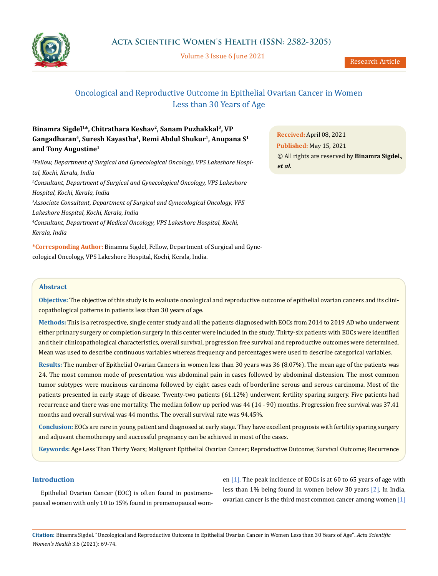

Volume 3 Issue 6 June 2021

# Oncological and Reproductive Outcome in Epithelial Ovarian Cancer in Women Less than 30 Years of Age

# Binamra Sigdel<sup>1\*</sup>, Chitrathara Keshav<sup>2</sup>, Sanam Puzhakkal<sup>3</sup>, VP **Gangadharan4, Suresh Kayastha1, Remi Abdul Shukur1, Anupana S1 and Tony Augustine1**

*1 Fellow, Department of Surgical and Gynecological Oncology, VPS Lakeshore Hospital, Kochi, Kerala, India 2 Consultant, Department of Surgical and Gynecological Oncology, VPS Lakeshore Hospital, Kochi, Kerala, India 3 Associate Consultant, Department of Surgical and Gynecological Oncology, VPS Lakeshore Hospital, Kochi, Kerala, India 4 Consultant, Department of Medical Oncology, VPS Lakeshore Hospital, Kochi, Kerala, India*

**Published:** May 15, 2021 © All rights are reserved by **Binamra Sigdel***., et al.*

**Received:** April 08, 2021

**\*Corresponding Author:** Binamra Sigdel, Fellow, Department of Surgical and Gynecological Oncology, VPS Lakeshore Hospital, Kochi, Kerala, India.

### **Abstract**

**Objective:** The objective of this study is to evaluate oncological and reproductive outcome of epithelial ovarian cancers and its clinicopathological patterns in patients less than 30 years of age.

**Methods:** This is a retrospective, single center study and all the patients diagnosed with EOCs from 2014 to 2019 AD who underwent either primary surgery or completion surgery in this center were included in the study. Thirty-six patients with EOCs were identified and their clinicopathological characteristics, overall survival, progression free survival and reproductive outcomes were determined. Mean was used to describe continuous variables whereas frequency and percentages were used to describe categorical variables.

**Results:** The number of Epithelial Ovarian Cancers in women less than 30 years was 36 (8.07%). The mean age of the patients was 24. The most common mode of presentation was abdominal pain in cases followed by abdominal distension. The most common tumor subtypes were mucinous carcinoma followed by eight cases each of borderline serous and serous carcinoma. Most of the patients presented in early stage of disease. Twenty-two patients (61.12%) underwent fertility sparing surgery. Five patients had recurrence and there was one mortality. The median follow up period was 44 (14 - 90) months. Progression free survival was 37.41 months and overall survival was 44 months. The overall survival rate was 94.45%.

**Conclusion:** EOCs are rare in young patient and diagnosed at early stage. They have excellent prognosis with fertility sparing surgery and adjuvant chemotherapy and successful pregnancy can be achieved in most of the cases.

**Keywords:** Age Less Than Thirty Years; Malignant Epithelial Ovarian Cancer; Reproductive Outcome; Survival Outcome; Recurrence

### **Introduction**

Epithelial Ovarian Cancer (EOC) is often found in postmenopausal women with only 10 to 15% found in premenopausal wom-

en  $[1]$ . The peak incidence of EOCs is at 60 to 65 years of age with less than 1% being found in women below 30 years [2]. In India, ovarian cancer is the third most common cancer among women [1]

**Citation:** Binamra Sigdel*.* "Oncological and Reproductive Outcome in Epithelial Ovarian Cancer in Women Less than 30 Years of Age". *Acta Scientific Women's Health* 3.6 (2021): 69-74.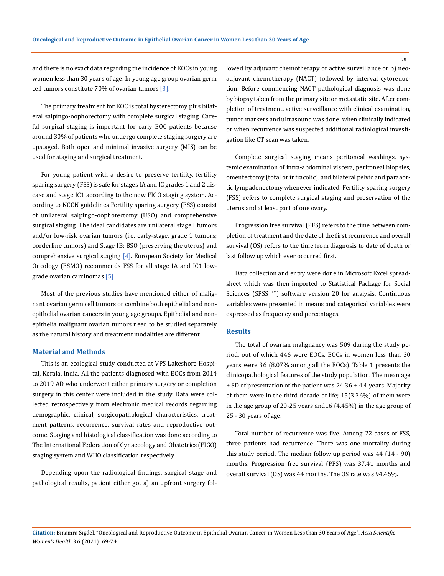and there is no exact data regarding the incidence of EOCs in young women less than 30 years of age. In young age group ovarian germ cell tumors constitute 70% of ovarian tumors  $\lceil 3 \rceil$ .

The primary treatment for EOC is total hysterectomy plus bilateral salpingo-oophorectomy with complete surgical staging. Careful surgical staging is important for early EOC patients because around 30% of patients who undergo complete staging surgery are upstaged. Both open and minimal invasive surgery (MIS) can be used for staging and surgical treatment.

For young patient with a desire to preserve fertility, fertility sparing surgery (FSS) is safe for stages IA and IC grades 1 and 2 disease and stage IC1 according to the new FIGO staging system. According to NCCN guidelines Fertility sparing surgery (FSS) consist of unilateral salpingo-oophorectomy (USO) and comprehensive surgical staging. The ideal candidates are unilateral stage I tumors and/or low-risk ovarian tumors (i.e. early-stage, grade 1 tumors; borderline tumors) and Stage IB: BSO (preserving the uterus) and comprehensive surgical staging  $[4]$ . European Society for Medical Oncology (ESMO) recommends FSS for all stage IA and IC1 lowgrade ovarian carcinomas [5].

Most of the previous studies have mentioned either of malignant ovarian germ cell tumors or combine both epithelial and nonepithelial ovarian cancers in young age groups. Epithelial and nonepithelia malignant ovarian tumors need to be studied separately as the natural history and treatment modalities are different.

### **Material and Methods**

This is an ecological study conducted at VPS Lakeshore Hospital, Kerala, India. All the patients diagnosed with EOCs from 2014 to 2019 AD who underwent either primary surgery or completion surgery in this center were included in the study. Data were collected retrospectively from electronic medical records regarding demographic, clinical, surgicopathological characteristics, treatment patterns, recurrence, survival rates and reproductive outcome. Staging and histological classification was done according to The International Federation of Gynaecology and Obstetrics (FIGO) staging system and WHO classification respectively.

Depending upon the radiological findings, surgical stage and pathological results, patient either got a) an upfront surgery followed by adjuvant chemotherapy or active surveillance or b) neoadjuvant chemotherapy (NACT) followed by interval cytoreduction. Before commencing NACT pathological diagnosis was done by biopsy taken from the primary site or metastatic site. After completion of treatment, active surveillance with clinical examination, tumor markers and ultrasound was done. when clinically indicated or when recurrence was suspected additional radiological investigation like CT scan was taken.

Complete surgical staging means peritoneal washings, systemic examination of intra-abdominal viscera, peritoneal biopsies, omentectomy (total or infracolic), and bilateral pelvic and paraaortic lympadenectomy whenever indicated. Fertility sparing surgery (FSS) refers to complete surgical staging and preservation of the uterus and at least part of one ovary.

Progression free survival (PFS) refers to the time between completion of treatment and the date of the first recurrence and overall survival (OS) refers to the time from diagnosis to date of death or last follow up which ever occurred first.

Data collection and entry were done in Microsoft Excel spreadsheet which was then imported to Statistical Package for Social Sciences (SPSS<sup>TM</sup>) software version 20 for analysis. Continuous variables were presented in means and categorical variables were expressed as frequency and percentages.

#### **Results**

The total of ovarian malignancy was 509 during the study period, out of which 446 were EOCs. EOCs in women less than 30 years were 36 (8.07% among all the EOCs). Table 1 presents the clinicopathological features of the study population. The mean age ± SD of presentation of the patient was 24.36 ± 4.4 years. Majority of them were in the third decade of life; 15(3.36%) of them were in the age group of 20-25 years and16 (4.45%) in the age group of 25 - 30 years of age.

Total number of recurrence was five. Among 22 cases of FSS, three patients had recurrence. There was one mortality during this study period. The median follow up period was 44 (14 - 90) months. Progression free survival (PFS) was 37.41 months and overall survival (OS) was 44 months. The OS rate was 94.45%.

70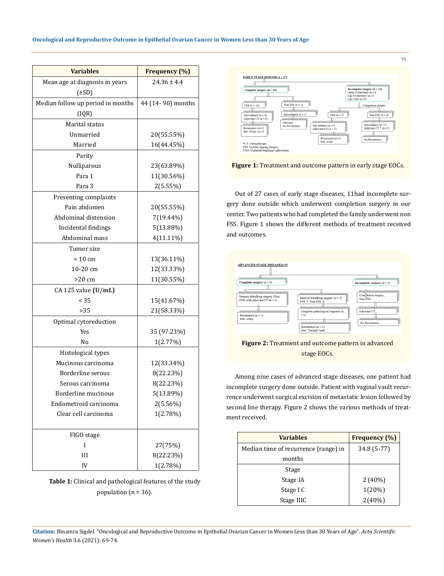| <b>Variables</b>                  | Frequency (%)     |
|-----------------------------------|-------------------|
| Mean age at diagnosis in years    | $24.36 \pm 4.4$   |
| (±SD)                             |                   |
| Median follow up period in months | 44 (14-90) months |
| [IQR]                             |                   |
| Marital status                    |                   |
| Unmarried                         | 20(55.55%)        |
| Married                           | 16(44.45%)        |
| Parity                            |                   |
| Nulliparous                       | 23(63.89%)        |
| Para 1                            | 11(30.56%)        |
| Para 3                            | 2(5.55%)          |
| Presenting complaints             |                   |
| Pain abdomen                      | 20(55.55%)        |
| Abdominal distension              | 7(19.44%)         |
| Incidental findings               | 5(13.88%)         |
| Abdominal mass                    | $4(11.11\%)$      |
| Tumor size                        |                   |
| $< 10 \text{ cm}$                 | 13(36.11%)        |
| 10-20 cm                          | 12(33.33%)        |
| >20 cm                            | 11(30.55%)        |
| $CA$ 125 value $(U/mL)$           |                   |
| < 35                              | 15(41.67%)        |
| >35                               | 21(58.33%)        |
| Optimal cytoreduction             |                   |
| Yes                               | 35 (97.23%)       |
| No                                | 1(2.77%)          |
| Histological types                |                   |
| Mucinous carcinoma                | 12(33.34%)        |
| Borderline serous                 | 8(22.23%)         |
| Serous carcinoma                  | 8(22.23%)         |
| Borderline mucinous               | 5(13.89%)         |
| Endometroid carcinoma             | 2(5.56%)          |
| Clear cell carcinoma              | 1(2.78%)          |
| FIGO stage                        |                   |
| I                                 | 27(75%)           |
| Ш                                 | 8(22.23%)         |
| IV                                | 1(2.78%)          |

**Table 1:** Clinical and pathological features of the study population ( $n = 36$ ).





Out of 27 cases of early stage diseases, 11had incomplete surgery done outside which underwent completion surgery in our center. Two patients who had completed the family underwent non FSS. Figure 1 shows the different methods of treatment received and outcomes.

| <b>ADVANCED STAGE DISEASE(n=9)</b>                                                                      |                                                                                                                                  |                                                                |
|---------------------------------------------------------------------------------------------------------|----------------------------------------------------------------------------------------------------------------------------------|----------------------------------------------------------------|
|                                                                                                         |                                                                                                                                  |                                                                |
| Complete surgery $(n = 8)$                                                                              |                                                                                                                                  | <b>Incomplete surgery</b> $(n = 1)$                            |
| Primary debulking surgery (Non<br>FSS) with adjuvant $CT(n = 3)$<br>Recurrence $(n = 1)$<br>Site: ovary | Interval debulking surgery $(n = 5)$<br>FSS: 1, Non FSS: 4<br>Complete pathological response (n<br>$= 5$<br>Recurrence $(n = 1)$ | Com detion surgery,<br>Non FSS<br>Adjuvant CT<br>No Recurrence |
|                                                                                                         | Site: Vaginal vault                                                                                                              |                                                                |

## **Figure 2:** Treatment and outcome pattern in advanced stage EOCs.

Among nine cases of advanced stage diseases, one patient had incomplete surgery done outside. Patient with vaginal vault recurrence underwent surgical excision of metastatic lesion followed by second line therapy. Figure 2 shows the various methods of treatment received.

| <b>Variables</b>                     | <b>Frequency</b> (%) |
|--------------------------------------|----------------------|
| Median time of recurrence (range) in | 34.8 (5-77)          |
| months                               |                      |
| Stage                                |                      |
| Stage IA                             | $2(40\%)$            |
| Stage I C                            | 1(20%)               |
| Stage IIIC                           | $2(40\%)$            |

**Citation:** Binamra Sigdel*.* "Oncological and Reproductive Outcome in Epithelial Ovarian Cancer in Women Less than 30 Years of Age". *Acta Scientific Women's Health* 3.6 (2021): 69-74.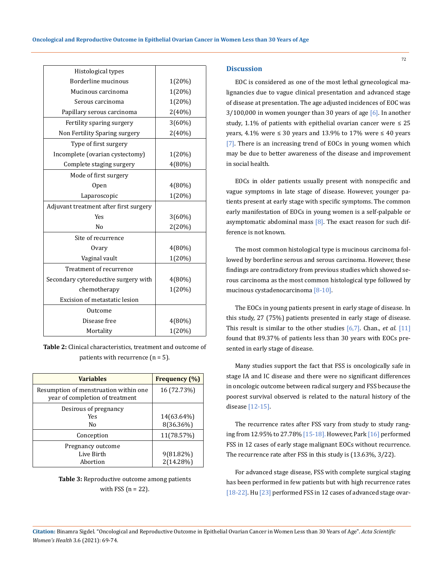| Histological types                     |           |
|----------------------------------------|-----------|
| Borderline mucinous                    | 1(20%)    |
| Mucinous carcinoma                     | 1(20%)    |
| Serous carcinoma                       | 1(20%)    |
| Papillary serous carcinoma             | 2(40%)    |
| Fertility sparing surgery              | $3(60\%)$ |
| Non Fertility Sparing surgery          | 2(40%)    |
| Type of first surgery                  |           |
| Incomplete (ovarian cystectomy)        | 1(20%)    |
| Complete staging surgery               | 4(80%)    |
| Mode of first surgery                  |           |
| 0pen                                   | 4(80%)    |
| Laparoscopic                           | 1(20%)    |
| Adjuvant treatment after first surgery |           |
| <b>Yes</b>                             | 3(60%)    |
| N <sub>0</sub>                         | 2(20%)    |
| Site of recurrence                     |           |
| Ovary                                  | 4(80%)    |
| Vaginal vault                          | 1(20%)    |
| Treatment of recurrence                |           |
| Secondary cytoreductive surgery with   | $4(80\%)$ |
| chemotherapy                           | 1(20%)    |
| Excision of metastatic lesion          |           |
| Outcome                                |           |
| Disease free                           | 4(80%)    |
| Mortality                              | 1(20%)    |

**Table 2:** Clinical characteristics, treatment and outcome of patients with recurrence (n = 5).

| <b>Variables</b>                                                         | <b>Frequency</b> (%)      |
|--------------------------------------------------------------------------|---------------------------|
| Resumption of menstruation within one<br>year of completion of treatment | 16 (72.73%)               |
| Desirous of pregnancy<br>Yes<br>No                                       | 14(63.64%)<br>8(36.36%)   |
| Conception                                                               | 11(78.57%)                |
| Pregnancy outcome<br>Live Birth<br>Abortion                              | $9(81.82\%)$<br>2(14.28%) |

**Table 3:** Reproductive outcome among patients with FSS  $(n = 22)$ .

#### **Discussion**

EOC is considered as one of the most lethal gynecological malignancies due to vague clinical presentation and advanced stage of disease at presentation. The age adjusted incidences of EOC was  $3/100,000$  in women younger than 30 years of age  $[6]$ . In another study, 1.1% of patients with epithelial ovarian cancer were  $\leq 25$ years, 4.1% were ≤ 30 years and 13.9% to 17% were ≤ 40 years [7]. There is an increasing trend of EOCs in young women which may be due to better awareness of the disease and improvement in social health.

EOCs in older patients usually present with nonspecific and vague symptoms in late stage of disease. However, younger patients present at early stage with specific symptoms. The common early manifestation of EOCs in young women is a self-palpable or asymptomatic abdominal mass  $[8]$ . The exact reason for such difference is not known.

The most common histological type is mucinous carcinoma followed by borderline serous and serous carcinoma. However, these findings are contradictory from previous studies which showed serous carcinoma as the most common histological type followed by mucinous cystadenocarcinoma [8-10].

The EOCs in young patients present in early stage of disease. In this study, 27 (75%) patients presented in early stage of disease. This result is similar to the other studies [6,7]. Chan., *et al.* [11] found that 89.37% of patients less than 30 years with EOCs presented in early stage of disease.

Many studies support the fact that FSS is oncologically safe in stage IA and IC disease and there were no significant differences in oncologic outcome between radical surgery and FSS because the poorest survival observed is related to the natural history of the disease [12-15].

The recurrence rates after FSS vary from study to study ranging from 12.95% to 27.78% [15-18]. However, Park [16] performed FSS in 12 cases of early stage malignant EOCs without recurrence. The recurrence rate after FSS in this study is (13.63%, 3/22).

For advanced stage disease, FSS with complete surgical staging has been performed in few patients but with high recurrence rates [18-22]. Hu [23] performed FSS in 12 cases of advanced stage ovar-

**Citation:** Binamra Sigdel*.* "Oncological and Reproductive Outcome in Epithelial Ovarian Cancer in Women Less than 30 Years of Age". *Acta Scientific Women's Health* 3.6 (2021): 69-74.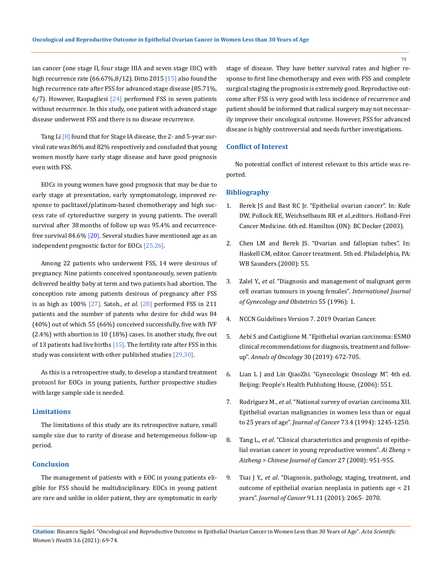ian cancer (one stage II, four stage IIIA and seven stage IIIC) with high recurrence rate  $(66.67\%, 8/12)$ . Ditto 2015  $[15]$  also found the high recurrence rate after FSS for advanced stage disease (85.71%,  $6/7$ ). However, Raspagliesi  $[24]$  performed FSS in seven patients without recurrence. In this study, one patient with advanced stage disease underwent FSS and there is no disease recurrence.

Tang Li<sup>[8]</sup> found that for Stage IA disease, the 2- and 5-year survival rate was 86% and 82% respectively and concluded that young women mostly have early stage disease and have good prognosis even with FSS.

EOCs in young women have good prognosis that may be due to early stage at presentation, early symptomatology, improved response to paclitaxel/platinum-based chemotherapy and high success rate of cytoreductive surgery in young patients. The overall survival after 38 months of follow up was 95.4% and recurrencefree survival 84.6% [20]. Several studies have mentioned age as an independent prognostic factor for EOCs [25,26].

Among 22 patients who underwent FSS, 14 were desirous of pregnancy. Nine patients conceived spontaneously, seven patients delivered healthy baby at term and two patients had abortion. The conception rate among patients desirous of pregnancy after FSS is as high as 100% [27]. Satoh., *et al*. [28] performed FSS in 211 patients and the number of patents who desire for child was 84 (40%) out of which 55 (66%) conceived successfully, five with IVF (2.4%) with abortion in 10 (18%) cases. In another study, five out of 13 patients had live births  $[15]$ . The fertility rate after FSS in this study was consistent with other published studies [29,30].

As this is a retrospective study, to develop a standard treatment protocol for EOCs in young patients, further prospective studies with large sample side is needed.

### **Limitations**

The limitations of this study are its retrospective nature, small sample size due to rarity of disease and heterogeneous follow-up period.

#### **Conclusion**

The management of patients with e EOC in young patients eligible for FSS should be multidisciplinary. EOCs in young patient are rare and unlike in older patient, they are symptomatic in early stage of disease. They have better survival rates and higher response to first line chemotherapy and even with FSS and complete surgical staging the prognosis is extremely good. Reproductive outcome after FSS is very good with less incidence of recurrence and patient should be informed that radical surgery may not necessarily improve their oncological outcome. However, FSS for advanced disease is highly controversial and needs further investigations.

#### **Conflict of Interest**

No potential conflict of interest relevant to this article was reported.

#### **Bibliography**

- 1. Berek JS and Bast RC Jr. "Epithelial ovarian cancer". In: Kufe DW, Pollock RE, Weichselbaum RR et al.,editors. Holland-Frei Cancer Medicine. 6th ed. Hamilton (ON): BC Decker (2003).
- 2. Chen LM and Berek JS. "Ovarian and fallopian tubes". In: Haskell CM, editor. Cancer treatment. 5th ed. Philadelphia, PA: WB Saunders (2000): 55.
- 3. Zalel Y., *et al*[. "Diagnosis and management of malignant germ](https://pubmed.ncbi.nlm.nih.gov/8910077/)  [cell ovarian tumours in young females".](https://pubmed.ncbi.nlm.nih.gov/8910077/) *International Journal [of Gynecology and Obstetrics](https://pubmed.ncbi.nlm.nih.gov/8910077/)* 55 (1996): 1.
- 4. NCCN Guidelines Version 7. 2019 Ovarian Cancer.
- 5. Aebi S and Castiglione M. "Epithelial ovarian carcinoma: ESMO clinical recommendations for diagnosis, treatment and followup". *Annals of Oncology* 30 (2019): 672-705.
- 6. [Lian L J and Lin QiaoZhi. "Gynecologic Oncology M". 4th ed.](https://pubmed.ncbi.nlm.nih.gov/18456751/)  [Beijing: People's Health Publishing House, \(2006\): 551.](https://pubmed.ncbi.nlm.nih.gov/18456751/)
- 7. Rodriguez M., *et al*[. "National survey of ovarian carcinoma XII.](https://pubmed.ncbi.nlm.nih.gov/8313329/)  [Epithelial ovarian malignancies in women less than or equal](https://pubmed.ncbi.nlm.nih.gov/8313329/)  to 25 years of age". *Journal of Cancer* [73.4 \(1994\): 1245-1250.](https://pubmed.ncbi.nlm.nih.gov/8313329/)
- 8. Tang L., *et al*[. "Clinical characteristics and prognosis of epithe](https://pubmed.ncbi.nlm.nih.gov/18799034/)[lial ovarian cancer in young reproductive women".](https://pubmed.ncbi.nlm.nih.gov/18799034/) *Ai Zheng = [Aizheng = Chinese Journal of Cancer](https://pubmed.ncbi.nlm.nih.gov/18799034/)* 27 (2008): 951-955.
- 9. Tsai J Y., *et al*[. "Diagnosis, pathology, staging, treatment, and](https://pubmed.ncbi.nlm.nih.gov/11391586/)  [outcome of epithelial ovarian neoplasia in patients age < 21](https://pubmed.ncbi.nlm.nih.gov/11391586/)  years". *Journal of Cancer* [91.11 \(2001\): 2065- 2070.](https://pubmed.ncbi.nlm.nih.gov/11391586/)

73

**Citation:** Binamra Sigdel*.* "Oncological and Reproductive Outcome in Epithelial Ovarian Cancer in Women Less than 30 Years of Age". *Acta Scientific Women's Health* 3.6 (2021): 69-74.